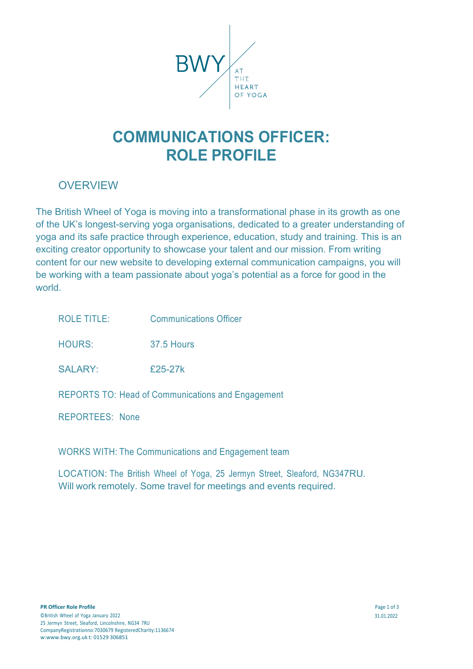

# **COMMUNICATIONS OFFICER: ROLE PROFILE**

## OVERVIEW

The British Wheel of Yoga is moving into a transformational phase in its growth as one of the UK's longest-serving yoga organisations, dedicated to a greater understanding of yoga and its safe practice through experience, education, study and training. This is an exciting creator opportunity to showcase your talent and our mission. From writing content for our new website to developing external communication campaigns, you will be working with a team passionate about yoga's potential as a force for good in the world.

| <b>ROLE TITLE:</b>     | <b>Communications Officer</b>                            |
|------------------------|----------------------------------------------------------|
| <b>HOURS:</b>          | 37.5 Hours                                               |
| <b>SALARY:</b>         | £25-27k                                                  |
|                        | <b>REPORTS TO: Head of Communications and Engagement</b> |
| <b>REPORTEES: None</b> |                                                          |

WORKS WITH: The Communications and Engagement team

LOCATION: The British Wheel of Yoga, 25 Jermyn Street, Sleaford, NG347RU. Will work remotely. Some travel for meetings and events required.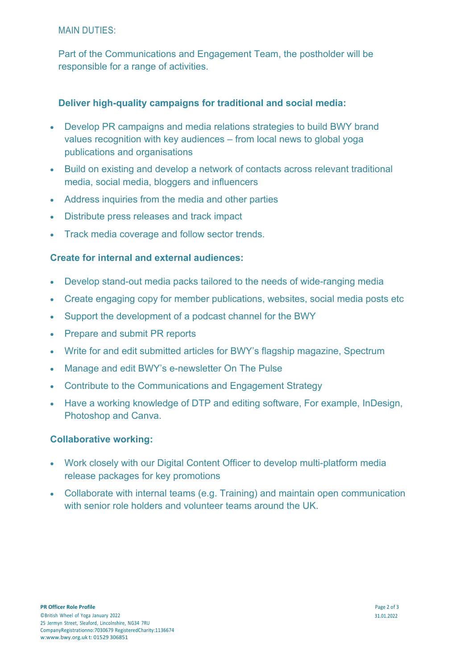### MAIN DUTIES:

Part of the Communications and Engagement Team, the postholder will be responsible for a range of activities.

### **Deliver high-quality campaigns for traditional and social media:**

- Develop PR campaigns and media relations strategies to build BWY brand values recognition with key audiences – from local news to global yoga publications and organisations
- Build on existing and develop a network of contacts across relevant traditional media, social media, bloggers and influencers
- Address inquiries from the media and other parties
- Distribute press releases and track impact
- Track media coverage and follow sector trends.

### **Create for internal and external audiences:**

- Develop stand-out media packs tailored to the needs of wide-ranging media
- Create engaging copy for member publications, websites, social media posts etc
- Support the development of a podcast channel for the BWY
- Prepare and submit PR reports
- Write for and edit submitted articles for BWY's flagship magazine, Spectrum
- Manage and edit BWY's e-newsletter On The Pulse
- Contribute to the Communications and Engagement Strategy
- Have a working knowledge of DTP and editing software, For example, InDesign, Photoshop and Canva.

#### **Collaborative working:**

- Work closely with our Digital Content Officer to develop multi-platform media release packages for key promotions
- Collaborate with internal teams (e.g. Training) and maintain open communication with senior role holders and volunteer teams around the UK.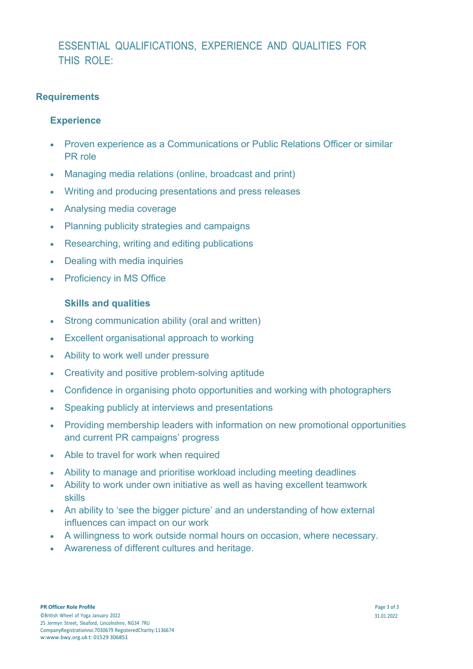# ESSENTIAL QUALIFICATIONS, EXPERIENCE AND QUALITIES FOR THIS ROLE:

### **Requirements**

### **Experience**

- Proven experience as a Communications or Public Relations Officer or similar PR role
- Managing media relations (online, broadcast and print)
- Writing and producing presentations and press releases
- Analysing media coverage
- Planning publicity strategies and campaigns
- Researching, writing and editing publications
- **Dealing with media inquiries**
- Proficiency in MS Office

### **Skills and qualities**

- Strong communication ability (oral and written)
- Excellent organisational approach to working
- Ability to work well under pressure
- Creativity and positive problem-solving aptitude
- Confidence in organising photo opportunities and working with photographers
- Speaking publicly at interviews and presentations
- Providing membership leaders with information on new promotional opportunities and current PR campaigns' progress
- Able to travel for work when required
- Ability to manage and prioritise workload including meeting deadlines
- Ability to work under own initiative as well as having excellent teamwork skills
- An ability to 'see the bigger picture' and an understanding of how external influences can impact on our work
- A willingness to work outside normal hours on occasion, where necessary.
- Awareness of different cultures and heritage.